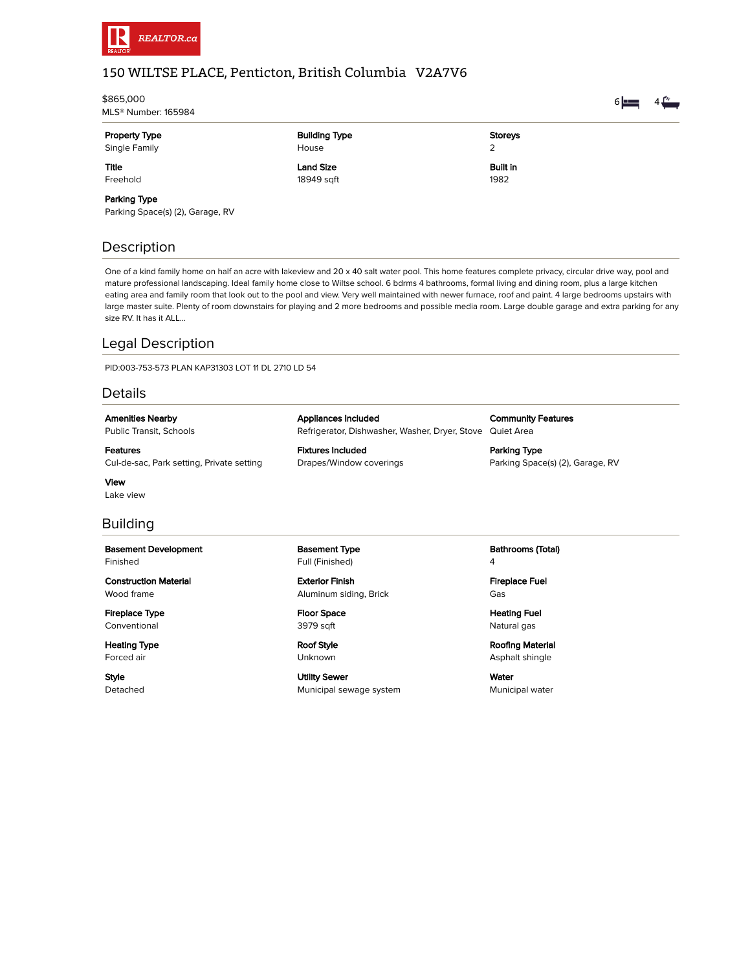

# 150 WILTSE PLACE, Penticton, British Columbia V2A7V6

| \$865,000<br>MLS® Number: 165984 |                  |                 | $6 \equiv$ |  |
|----------------------------------|------------------|-----------------|------------|--|
|                                  |                  |                 |            |  |
| Single Family                    | House            | 2               |            |  |
| <b>Title</b>                     | <b>Land Size</b> | <b>Built in</b> |            |  |
| Freehold                         | 18949 sqft       | 1982            |            |  |
| _____                            |                  |                 |            |  |

### Parking Type

\$865,000

Parking Space(s) (2), Garage, RV

## Description

One of a kind family home on half an acre with lakeview and 20 x 40 salt water pool. This home features complete privacy, circular drive way, pool and mature professional landscaping. Ideal family home close to Wiltse school. 6 bdrms 4 bathrooms, formal living and dining room, plus a large kitchen eating area and family room that look out to the pool and view. Very well maintained with newer furnace, roof and paint. 4 large bedrooms upstairs with large master suite. Plenty of room downstairs for playing and 2 more bedrooms and possible media room. Large double garage and extra parking for any size RV. It has it ALL...

Refrigerator, Dishwasher, Washer, Dryer, Stove Quiet Area

### Legal Description

PID:003-753-573 PLAN KAP31303 LOT 11 DL 2710 LD 54

### Details

Amenities Nearby Public Transit, Schools

Features Cul-de-sac, Park setting, Private setting

View Lake view

### Building

Basement Development Finished

Construction Material Wood frame

Fireplace Type **Conventional** 

Heating Type Forced air

Style Detached Basement Type Full (Finished)

Appliances Included

Fixtures Included Drapes/Window coverings

Exterior Finish Aluminum siding, Brick

Floor Space 3979 sqft

Roof Style Unknown

Utility Sewer Municipal sewage system Bathrooms (Total) 4

Community Features

Parking Space(s) (2), Garage, RV

Parking Type

Fireplace Fuel Gas

Heating Fuel Natural gas

Roofing Material Asphalt shingle

Water Municipal water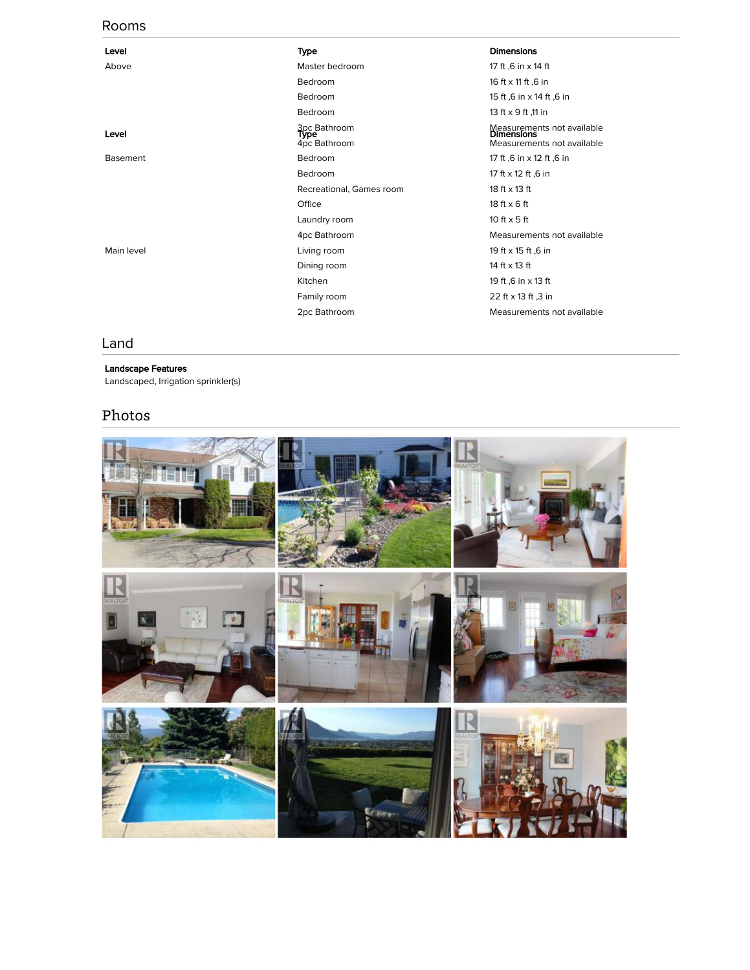### Rooms

| Level           | Type                                        | <b>Dimensions</b>                                                             |
|-----------------|---------------------------------------------|-------------------------------------------------------------------------------|
| Above           | Master bedroom                              | 17 ft ,6 in x 14 ft                                                           |
|                 | Bedroom                                     | 16 ft x 11 ft ,6 in                                                           |
|                 | Bedroom                                     | 15 ft ,6 in x 14 ft ,6 in                                                     |
|                 | Bedroom                                     | 13 ft x 9 ft ,11 in                                                           |
| Level           | 3pc Bathroom<br><b>Type</b><br>4pc Bathroom | Measurements not available<br><b>Dimensions</b><br>Measurements not available |
| <b>Basement</b> | Bedroom                                     | 17 ft ,6 in x 12 ft ,6 in                                                     |
|                 | Bedroom                                     | 17 ft x 12 ft ,6 in                                                           |
|                 | Recreational, Games room                    | 18 ft x 13 ft                                                                 |
|                 | Office                                      | $18$ ft $\times$ 6 ft                                                         |
|                 | Laundry room                                | 10 ft $\times$ 5 ft                                                           |
|                 | 4pc Bathroom                                | Measurements not available                                                    |
| Main level      | Living room                                 | 19 ft x 15 ft ,6 in                                                           |
|                 | Dining room                                 | 14 ft x 13 ft                                                                 |
|                 | Kitchen                                     | 19 ft ,6 in x 13 ft                                                           |
|                 | Family room                                 | 22 ft x 13 ft ,3 in                                                           |
|                 | 2pc Bathroom                                | Measurements not available                                                    |

### Land

#### Landscape Features

Landscaped, Irrigation sprinkler(s)

# Photos

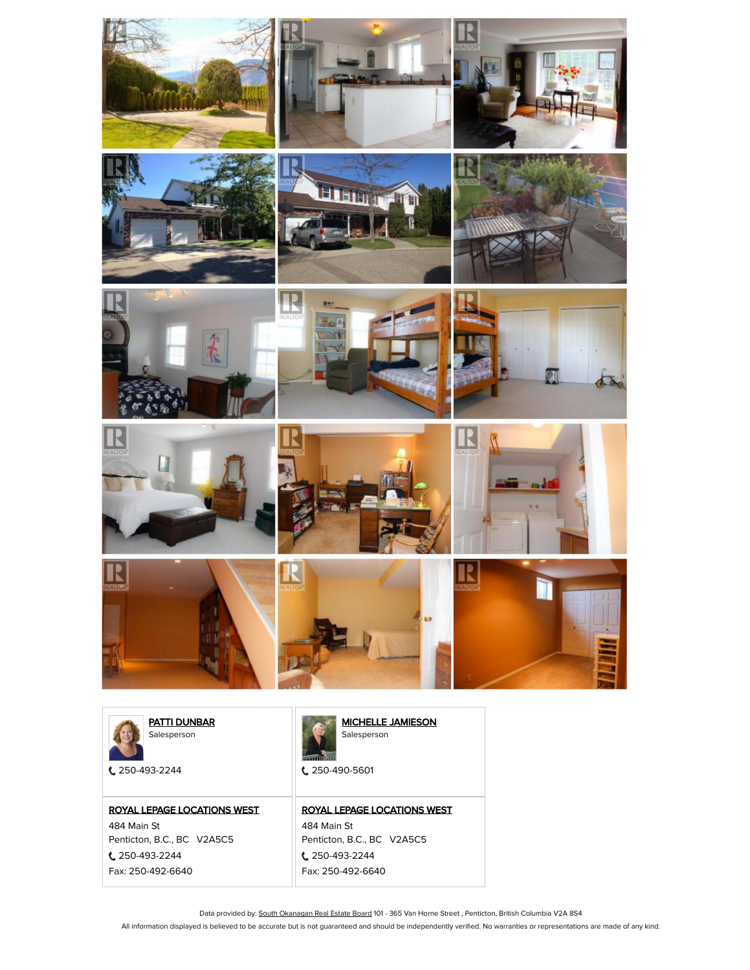



[PATTI DUNBAR](https://www.realtor.ca/Residential/RealtorDetails.aspx?IndividualId=1535140) Salesperson

250-493-2244

### [ROYAL LEPAGE LOCATIONS WEST](https://www.realtor.ca/Residential/OfficeDetails.aspx?OrganizationId=54388) 484 Main St

Penticton, B.C., BC V2A5C5

250-493-2244 Fax: 250-492-6640



C 250-490-5601

[ROYAL LEPAGE LOCATIONS WEST](https://www.realtor.ca/Residential/OfficeDetails.aspx?OrganizationId=54388)

484 Main St Penticton, B.C., BC V2A5C5 250-493-2244 Fax: 250-492-6640

Data provided by: South [Okanagan](http://www.soreb.org/) Real Estate Board 101 - 365 Van Horne Street, Penticton, British Columbia V2A 8S4

All information displayed is believed to be accurate but is not guaranteed and should be independently verified. No warranties or representations are made of any kind.